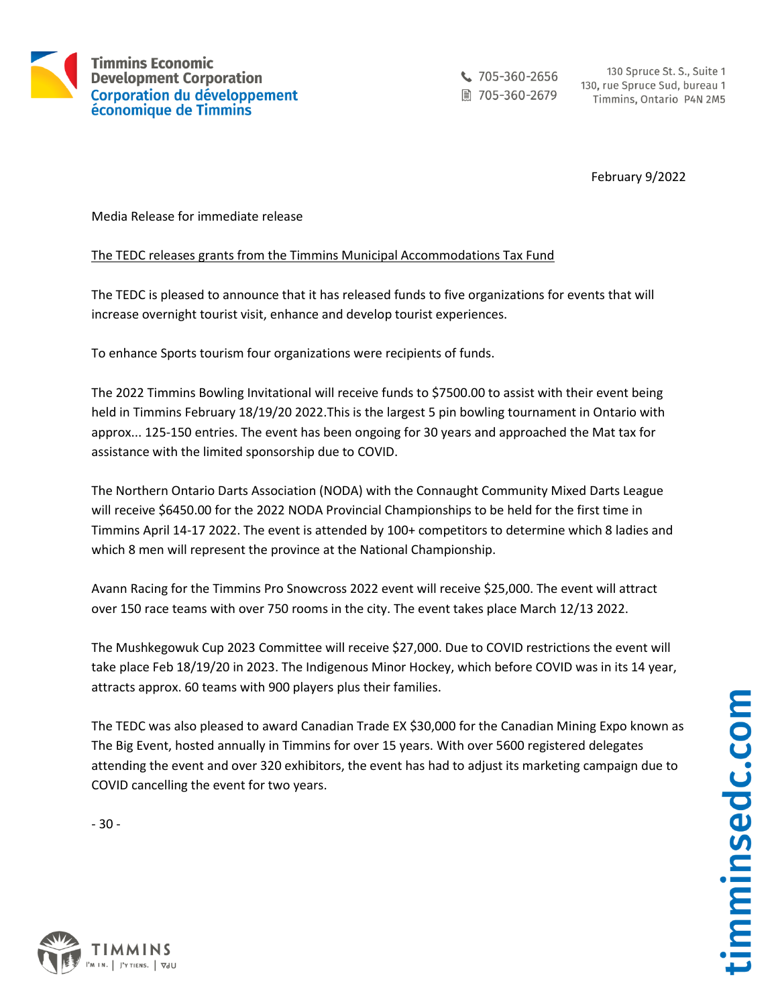

 $\frac{1}{2}$  705-360-2656 ■ 705-360-2679

130 Spruce St. S., Suite 1 130, rue Spruce Sud, bureau 1 Timmins, Ontario P4N 2M5

February 9/2022

Media Release for immediate release

## The TEDC releases grants from the Timmins Municipal Accommodations Tax Fund

The TEDC is pleased to announce that it has released funds to five organizations for events that will increase overnight tourist visit, enhance and develop tourist experiences.

To enhance Sports tourism four organizations were recipients of funds.

The 2022 Timmins Bowling Invitational will receive funds to \$7500.00 to assist with their event being held in Timmins February 18/19/20 2022.This is the largest 5 pin bowling tournament in Ontario with approx... 125-150 entries. The event has been ongoing for 30 years and approached the Mat tax for assistance with the limited sponsorship due to COVID.

The Northern Ontario Darts Association (NODA) with the Connaught Community Mixed Darts League will receive \$6450.00 for the 2022 NODA Provincial Championships to be held for the first time in Timmins April 14-17 2022. The event is attended by 100+ competitors to determine which 8 ladies and which 8 men will represent the province at the National Championship.

Avann Racing for the Timmins Pro Snowcross 2022 event will receive \$25,000. The event will attract over 150 race teams with over 750 rooms in the city. The event takes place March 12/13 2022.

The Mushkegowuk Cup 2023 Committee will receive \$27,000. Due to COVID restrictions the event will take place Feb 18/19/20 in 2023. The Indigenous Minor Hockey, which before COVID was in its 14 year, attracts approx. 60 teams with 900 players plus their families.

The TEDC was also pleased to award Canadian Trade EX \$30,000 for the Canadian Mining Expo known as The Big Event, hosted annually in Timmins for over 15 years. With over 5600 registered delegates attending the event and over 320 exhibitors, the event has had to adjust its marketing campaign due to COVID cancelling the event for two years.

- 30 -